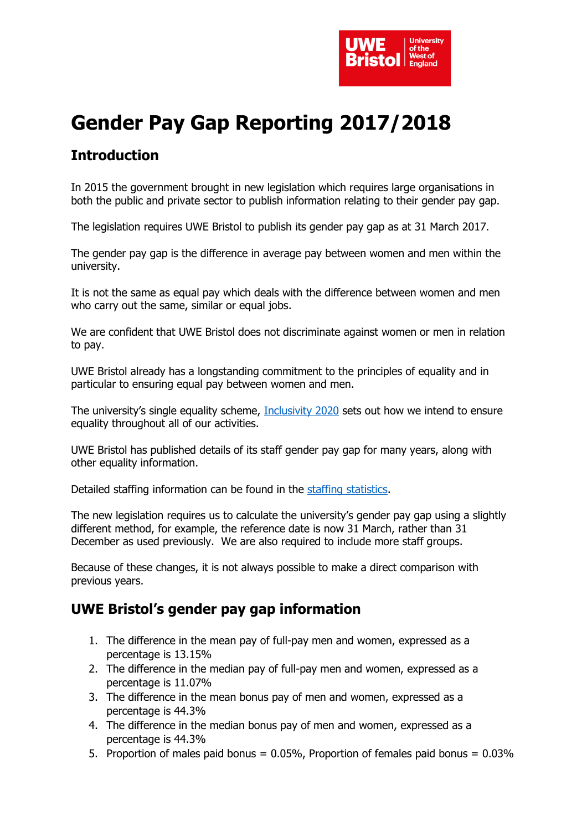

# **Gender Pay Gap Reporting 2017/2018**

## **Introduction**

In 2015 the government brought in new legislation which requires large organisations in both the public and private sector to publish information relating to their gender pay gap.

The legislation requires UWE Bristol to publish its gender pay gap as at 31 March 2017.

The gender pay gap is the difference in average pay between women and men within the university.

It is not the same as equal pay which deals with the difference between women and men who carry out the same, similar or equal jobs.

We are confident that UWE Bristol does not discriminate against women or men in relation to pay.

UWE Bristol already has a longstanding commitment to the principles of equality and in particular to ensuring equal pay between women and men.

The university's single equality scheme, [Inclusivity 2020](http://www1.uwe.ac.uk/about/corporateinformation/equalityanddiversity/singleequalityscheme.aspx) sets out how we intend to ensure equality throughout all of our activities.

UWE Bristol has published details of its staff gender pay gap for many years, along with other equality information.

Detailed staffing information can be found in the [staffing statistics.](http://www1.uwe.ac.uk/about/departmentsandservices/professionalservices/humanresources/staffstatistics.aspx)

The new legislation requires us to calculate the university's gender pay gap using a slightly different method, for example, the reference date is now 31 March, rather than 31 December as used previously. We are also required to include more staff groups.

Because of these changes, it is not always possible to make a direct comparison with previous years.

#### **UWE Bristol's gender pay gap information**

- 1. The difference in the mean pay of full-pay men and women, expressed as a percentage is 13.15%
- 2. The difference in the median pay of full-pay men and women, expressed as a percentage is 11.07%
- 3. The difference in the mean bonus pay of men and women, expressed as a percentage is 44.3%
- 4. The difference in the median bonus pay of men and women, expressed as a percentage is 44.3%
- 5. Proportion of males paid bonus = 0.05%, Proportion of females paid bonus = 0.03%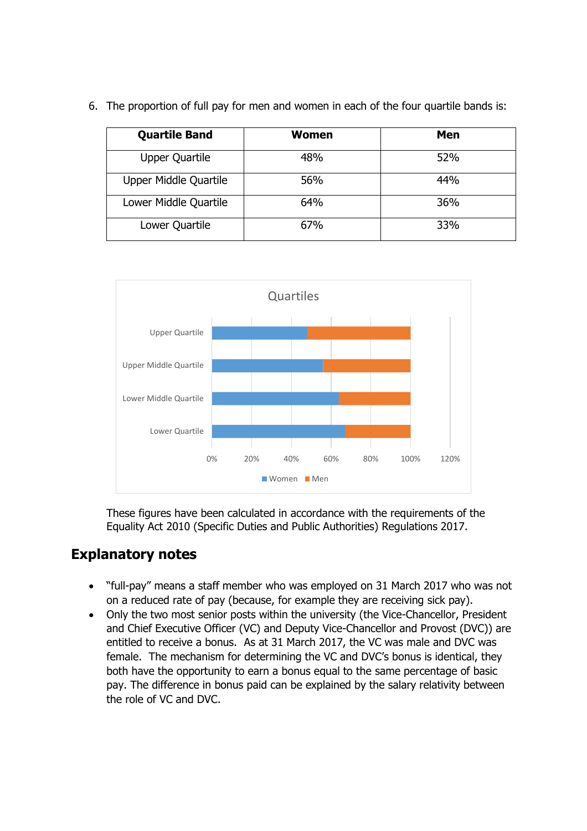| <b>Quartile Band</b>  | Women | Men |
|-----------------------|-------|-----|
| <b>Upper Quartile</b> | 48%   | 52% |
| Upper Middle Quartile | 56%   | 44% |
| Lower Middle Quartile | 64%   | 36% |
| Lower Quartile        | 67%   | 33% |

6. The proportion of full pay for men and women in each of the four quartile bands is:



These figures have been calculated in accordance with the requirements of the Equality Act 2010 (Specific Duties and Public Authorities) Regulations 2017.

#### **Explanatory notes**

- "full-pay" means a staff member who was employed on 31 March 2017 who was not on a reduced rate of pay (because, for example they are receiving sick pay).
- Only the two most senior posts within the university (the Vice-Chancellor, President and Chief Executive Officer (VC) and Deputy Vice-Chancellor and Provost (DVC)) are entitled to receive a bonus. As at 31 March 2017, the VC was male and DVC was female. The mechanism for determining the VC and DVC's bonus is identical, they both have the opportunity to earn a bonus equal to the same percentage of basic pay. The difference in bonus paid can be explained by the salary relativity between the role of VC and DVC.